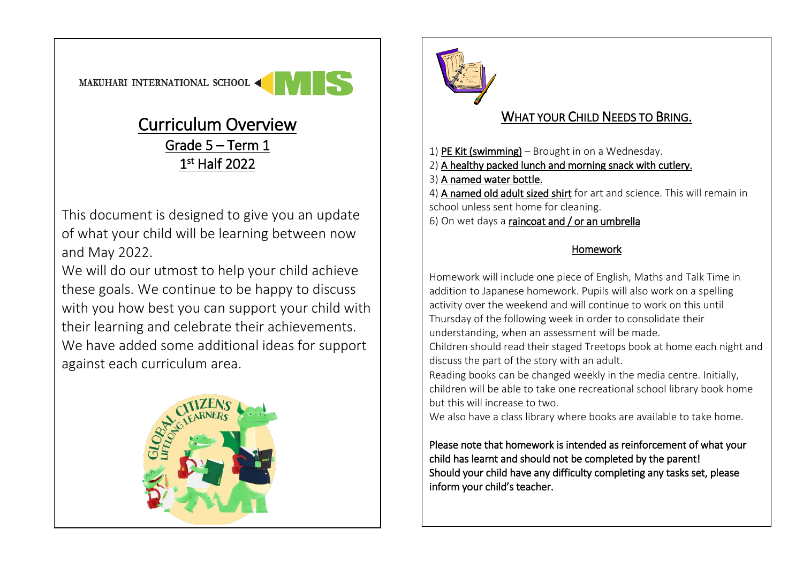## Curriculum Overview Grade 5 – Term 1 1st Half 2022

This document is designed to give you an update of what your child will be learning between now and May 2022.

We will do our utmost to help your child achieve these goals. We continue to be happy to discuss with you how best you can support your child with their learning and celebrate their achievements. We have added some additional ideas for support against each curriculum area.





## WHAT YOUR CHILD NEEDS TO BRING.

- 1) PE Kit (swimming) Brought in on a Wednesday.
- 2) A healthy packed lunch and morning snack with cutlery.
- 3) A named water bottle.
- 4) A named old adult sized shirt for art and science. This will remain in school unless sent home for cleaning.
- 6) On wet days a raincoat and / or an umbrella

## Homework

Homework will include one piece of English, Maths and Talk Time in addition to Japanese homework. Pupils will also work on a spelling activity over the weekend and will continue to work on this until Thursday of the following week in order to consolidate their understanding, when an assessment will be made.

Children should read their staged Treetops book at home each night and discuss the part of the story with an adult.

Reading books can be changed weekly in the media centre. Initially, children will be able to take one recreational school library book home but this will increase to two.

We also have a class library where books are available to take home.

Please note that homework is intended as reinforcement of what your child has learnt and should not be completed by the parent! Should your child have any difficulty completing any tasks set, please inform your child's teacher.